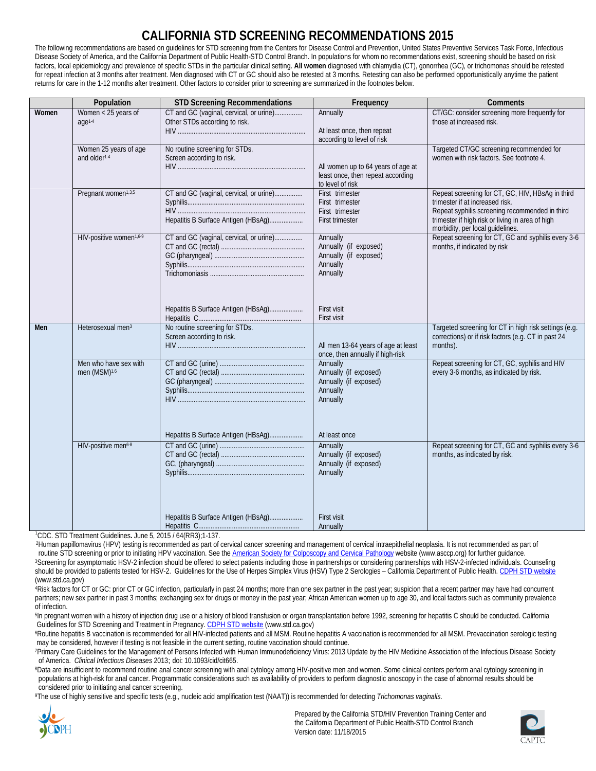## **CALIFORNIA STD SCREENING RECOMMENDATIONS 2015**

The following recommendations are based on quidelines for STD screening from the Centers for Disease Control and Prevention, United States Preventive Services Task Force, Infectious Disease Society of America, and the California Department of Public Health-STD Control Branch. In populations for whom no recommendations exist, screening should be based on risk factors, local epidemiology and prevalence of specific STDs in the particular clinical setting. **All women** diagnosed with chlamydia (CT), gonorrhea (GC), or trichomonas should be retested for repeat infection at 3 months after treatment. Men diagnosed with CT or GC should also be retested at 3 months. Retesting can also be performed opportunistically anytime the patient returns for care in the 1-12 months after treatment. Other factors to consider prior to screening are summarized in the footnotes below.

|            | Population                                        | <b>STD Screening Recommendations</b>                                           | Frequency                                                                                   | <b>Comments</b>                                                                                                                                                                                                               |
|------------|---------------------------------------------------|--------------------------------------------------------------------------------|---------------------------------------------------------------------------------------------|-------------------------------------------------------------------------------------------------------------------------------------------------------------------------------------------------------------------------------|
| Women      | Women < 25 years of<br>age1-4                     | CT and GC (vaginal, cervical, or urine)<br>Other STDs according to risk.       | Annually<br>At least once, then repeat<br>according to level of risk                        | CT/GC: consider screening more frequently for<br>those at increased risk.                                                                                                                                                     |
|            | Women 25 years of age<br>and older <sup>1-4</sup> | No routine screening for STDs.<br>Screen according to risk.                    | All women up to 64 years of age at<br>least once, then repeat according<br>to level of risk | Targeted CT/GC screening recommended for<br>women with risk factors. See footnote 4.                                                                                                                                          |
|            | Pregnant women <sup>1,3,5</sup>                   | CT and GC (vaginal, cervical, or urine)<br>Hepatitis B Surface Antigen (HBsAg) | First trimester<br>First trimester<br>First trimester<br><b>First trimester</b>             | Repeat screening for CT, GC, HIV, HBsAg in third<br>trimester if at increased risk.<br>Repeat syphilis screening recommended in third<br>trimester if high risk or living in area of high<br>morbidity, per local guidelines. |
|            | HIV-positive women <sup>1,6-9</sup>               | CT and GC (vaginal, cervical, or urine)                                        | Annually<br>Annually (if exposed)<br>Annually (if exposed)<br>Annually<br>Annually          | Repeat screening for CT, GC and syphilis every 3-6<br>months, if indicated by risk                                                                                                                                            |
|            |                                                   | Hepatitis B Surface Antigen (HBsAg)                                            | First visit<br>First visit                                                                  |                                                                                                                                                                                                                               |
| <b>Men</b> | Heterosexual men <sup>3</sup>                     | Screen according to risk.                                                      | All men 13-64 years of age at least<br>once, then annually if high-risk                     | Targeted screening for CT in high risk settings (e.g.<br>corrections) or if risk factors (e.g. CT in past 24<br>months).                                                                                                      |
|            | Men who have sex with<br>men (MSM) <sup>1,6</sup> |                                                                                | Annually<br>Annually (if exposed)<br>Annually (if exposed)<br>Annually<br>Annually          | Repeat screening for CT, GC, syphilis and HIV<br>every 3-6 months, as indicated by risk.                                                                                                                                      |
|            | HIV-positive men <sup>6-8</sup>                   | Hepatitis B Surface Antigen (HBsAg)                                            | At least once<br>Annually<br>Annually (if exposed)<br>Annually (if exposed)<br>Annually     | Repeat screening for CT, GC and syphilis every 3-6<br>months, as indicated by risk.                                                                                                                                           |
|            |                                                   | Hepatitis B Surface Antigen (HBsAg)                                            | <b>First visit</b><br>Annually                                                              |                                                                                                                                                                                                                               |

1 CDC. STD Treatment Guidelines**.** June 5, 2015 / 64(RR3);1-137.

2Human papillomavirus (HPV) testing is recommended as part of cervical cancer screening and management of cervical intraepithelial neoplasia. It is not recommended as part of routine STD screening or prior to initiating HPV vaccination. See th[e American Society for Colposcopy and Cervical Pathology](http://www.asccp.org/) website (www.asccp.org) for further guidance. 3Screening for asymptomatic HSV-2 infection should be offered to select patients including those in partnerships or considering partnerships with HSV-2-infected individuals. Counseling should be provided to patients tested for HSV-2. Guidelines for the Use of Herpes Simplex Virus (HSV) Type 2 Serologies – California Department of Public Health[. CDPH STD website](http://www.cdph.ca.gov/programs/std) [\(ww](http://www.cdph.ca.gov/programs/std)w.std.ca.gov)

4Risk factors for CT or GC: prior CT or GC infection, particularly in past 24 months; more than one sex partner in the past year; suspicion that a recent partner may have had concurrent partners; new sex partner in past 3 months; exchanging sex for drugs or money in the past year; African American women up to age 30, and local factors such as community prevalence of infection.

<sup>5</sup>In pregnant women with a history of injection drug use or a history of blood transfusion or organ transplantation before 1992, screening for hepatitis C should be conducted. California Guidelines for STD Screening and Treatment in Pregnancy[. CDPH STD website](http://www.cdph.ca.gov/programs/std) [\(ww](http://www.cdph.ca.gov/programs/std)w.std.ca.gov)

6Routine hepatitis B vaccination is recommended for all HIV-infected patients and all MSM. Routine hepatitis A vaccination is recommended for all MSM. Prevaccination serologic testing may be considered, however if testing is not feasible in the current setting, routine vaccination should continue.

7Primary Care Guidelines for the Management of Persons Infected with Human Immunodeficiency Virus: 2013 Update by the HIV Medicine Association of the Infectious Disease Society of America. *Clinical Infectious Diseases* 2013; doi: 10.1093/cid/cit665.

<sup>8</sup>Data are insufficient to recommend routine anal cancer screening with anal cytology among HIV-positive men and women. Some clinical centers perform anal cytology screening in populations at high-risk for anal cancer. Programmatic considerations such as availability of providers to perform diagnostic anoscopy in the case of abnormal results should be considered prior to initiating anal cancer screening.

9The use of highly sensitive and specific tests (e.g., nucleic acid amplification test (NAAT)) is recommended for detecting *Trichomonas vaginalis*.



Prepared by the California STD/HIV Prevention Training Center and the California Department of Public Health-STD Control Branch Version date: 11/18/2015